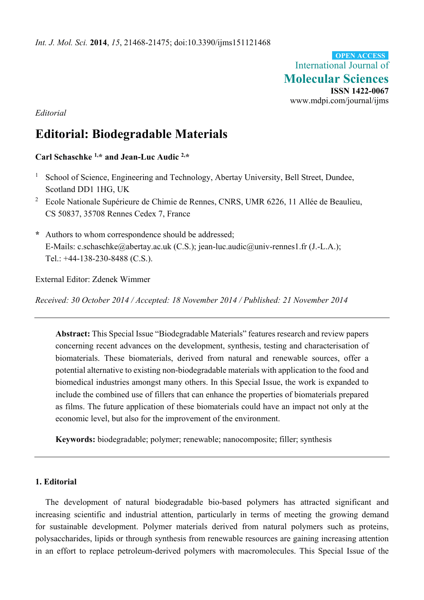International Journal of **Molecular Sciences ISSN 1422-0067**  www.mdpi.com/journal/ijms **OPEN ACCESS**

*Editorial* 

# **Editorial: Biodegradable Materials**

### **Carl Schaschke 1,\* and Jean-Luc Audic 2,\***

- <sup>1</sup> School of Science, Engineering and Technology, Abertay University, Bell Street, Dundee, Scotland DD1 1HG, UK
- <sup>2</sup> Ecole Nationale Supérieure de Chimie de Rennes, CNRS, UMR 6226, 11 Allée de Beaulieu, CS 50837, 35708 Rennes Cedex 7, France
- **\*** Authors to whom correspondence should be addressed; E-Mails: c.schaschke@abertay.ac.uk (C.S.); jean-luc.audic@univ-rennes1.fr (J.-L.A.); Tel.: +44-138-230-8488 (C.S.).

External Editor: Zdenek Wimmer

*Received: 30 October 2014 / Accepted: 18 November 2014 / Published: 21 November 2014* 

**Abstract:** This Special Issue "Biodegradable Materials" features research and review papers concerning recent advances on the development, synthesis, testing and characterisation of biomaterials. These biomaterials, derived from natural and renewable sources, offer a potential alternative to existing non-biodegradable materials with application to the food and biomedical industries amongst many others. In this Special Issue, the work is expanded to include the combined use of fillers that can enhance the properties of biomaterials prepared as films. The future application of these biomaterials could have an impact not only at the economic level, but also for the improvement of the environment.

**Keywords:** biodegradable; polymer; renewable; nanocomposite; filler; synthesis

### **1. Editorial**

The development of natural biodegradable bio-based polymers has attracted significant and increasing scientific and industrial attention, particularly in terms of meeting the growing demand for sustainable development. Polymer materials derived from natural polymers such as proteins, polysaccharides, lipids or through synthesis from renewable resources are gaining increasing attention in an effort to replace petroleum-derived polymers with macromolecules. This Special Issue of the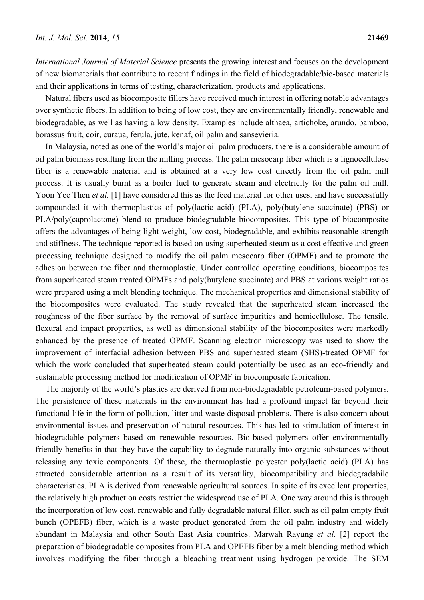*International Journal of Material Science* presents the growing interest and focuses on the development of new biomaterials that contribute to recent findings in the field of biodegradable/bio-based materials and their applications in terms of testing, characterization, products and applications.

Natural fibers used as biocomposite fillers have received much interest in offering notable advantages over synthetic fibers. In addition to being of low cost, they are environmentally friendly, renewable and biodegradable, as well as having a low density. Examples include althaea, artichoke, arundo, bamboo, borassus fruit, coir, curaua, ferula, jute, kenaf, oil palm and sansevieria.

In Malaysia, noted as one of the world's major oil palm producers, there is a considerable amount of oil palm biomass resulting from the milling process. The palm mesocarp fiber which is a lignocellulose fiber is a renewable material and is obtained at a very low cost directly from the oil palm mill process. It is usually burnt as a boiler fuel to generate steam and electricity for the palm oil mill. Yoon Yee Then *et al.* [1] have considered this as the feed material for other uses, and have successfully compounded it with thermoplastics of poly(lactic acid) (PLA), poly(butylene succinate) (PBS) or PLA/poly(caprolactone) blend to produce biodegradable biocomposites. This type of biocomposite offers the advantages of being light weight, low cost, biodegradable, and exhibits reasonable strength and stiffness. The technique reported is based on using superheated steam as a cost effective and green processing technique designed to modify the oil palm mesocarp fiber (OPMF) and to promote the adhesion between the fiber and thermoplastic. Under controlled operating conditions, biocomposites from superheated steam treated OPMFs and poly(butylene succinate) and PBS at various weight ratios were prepared using a melt blending technique. The mechanical properties and dimensional stability of the biocomposites were evaluated. The study revealed that the superheated steam increased the roughness of the fiber surface by the removal of surface impurities and hemicellulose. The tensile, flexural and impact properties, as well as dimensional stability of the biocomposites were markedly enhanced by the presence of treated OPMF. Scanning electron microscopy was used to show the improvement of interfacial adhesion between PBS and superheated steam (SHS)-treated OPMF for which the work concluded that superheated steam could potentially be used as an eco-friendly and sustainable processing method for modification of OPMF in biocomposite fabrication.

The majority of the world's plastics are derived from non-biodegradable petroleum-based polymers. The persistence of these materials in the environment has had a profound impact far beyond their functional life in the form of pollution, litter and waste disposal problems. There is also concern about environmental issues and preservation of natural resources. This has led to stimulation of interest in biodegradable polymers based on renewable resources. Bio-based polymers offer environmentally friendly benefits in that they have the capability to degrade naturally into organic substances without releasing any toxic components. Of these, the thermoplastic polyester poly(lactic acid) (PLA) has attracted considerable attention as a result of its versatility, biocompatibility and biodegradabile characteristics. PLA is derived from renewable agricultural sources. In spite of its excellent properties, the relatively high production costs restrict the widespread use of PLA. One way around this is through the incorporation of low cost, renewable and fully degradable natural filler, such as oil palm empty fruit bunch (OPEFB) fiber, which is a waste product generated from the oil palm industry and widely abundant in Malaysia and other South East Asia countries. Marwah Rayung *et al.* [2] report the preparation of biodegradable composites from PLA and OPEFB fiber by a melt blending method which involves modifying the fiber through a bleaching treatment using hydrogen peroxide. The SEM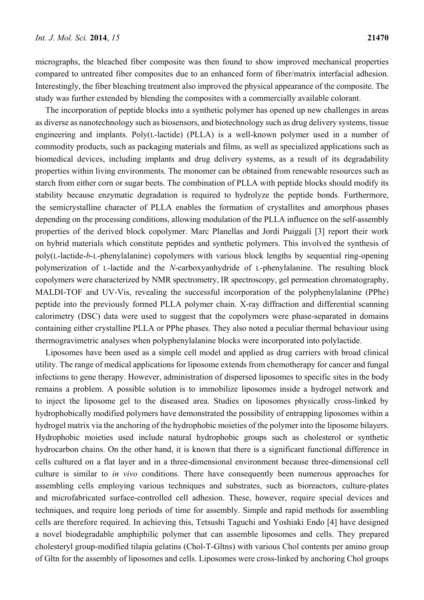micrographs, the bleached fiber composite was then found to show improved mechanical properties compared to untreated fiber composites due to an enhanced form of fiber/matrix interfacial adhesion. Interestingly, the fiber bleaching treatment also improved the physical appearance of the composite. The study was further extended by blending the composites with a commercially available colorant.

The incorporation of peptide blocks into a synthetic polymer has opened up new challenges in areas as diverse as nanotechnology such as biosensors, and biotechnology such as drug delivery systems, tissue engineering and implants. Poly(L-lactide) (PLLA) is a well-known polymer used in a number of commodity products, such as packaging materials and films, as well as specialized applications such as biomedical devices, including implants and drug delivery systems, as a result of its degradability properties within living environments. The monomer can be obtained from renewable resources such as starch from either corn or sugar beets. The combination of PLLA with peptide blocks should modify its stability because enzymatic degradation is required to hydrolyze the peptide bonds. Furthermore, the semicrystalline character of PLLA enables the formation of crystallites and amorphous phases depending on the processing conditions, allowing modulation of the PLLA influence on the self-assembly properties of the derived block copolymer. Marc Planellas and Jordi Puiggalí [3] report their work on hybrid materials which constitute peptides and synthetic polymers. This involved the synthesis of poly(L-lactide-*b*-L-phenylalanine) copolymers with various block lengths by sequential ring-opening polymerization of L-lactide and the *N*-carboxyanhydride of L-phenylalanine. The resulting block copolymers were characterized by NMR spectrometry, IR spectroscopy, gel permeation chromatography, MALDI-TOF and UV-Vis, revealing the successful incorporation of the polyphenylalanine (PPhe) peptide into the previously formed PLLA polymer chain. X-ray diffraction and differential scanning calorimetry (DSC) data were used to suggest that the copolymers were phase-separated in domains containing either crystalline PLLA or PPhe phases. They also noted a peculiar thermal behaviour using thermogravimetric analyses when polyphenylalanine blocks were incorporated into polylactide.

Liposomes have been used as a simple cell model and applied as drug carriers with broad clinical utility. The range of medical applications for liposome extends from chemotherapy for cancer and fungal infections to gene therapy. However, administration of dispersed liposomes to specific sites in the body remains a problem. A possible solution is to immobilize liposomes inside a hydrogel network and to inject the liposome gel to the diseased area. Studies on liposomes physically cross-linked by hydrophobically modified polymers have demonstrated the possibility of entrapping liposomes within a hydrogel matrix via the anchoring of the hydrophobic moieties of the polymer into the liposome bilayers. Hydrophobic moieties used include natural hydrophobic groups such as cholesterol or synthetic hydrocarbon chains. On the other hand, it is known that there is a significant functional difference in cells cultured on a flat layer and in a three-dimensional environment because three-dimensional cell culture is similar to *in vivo* conditions. There have consequently been numerous approaches for assembling cells employing various techniques and substrates, such as bioreactors, culture-plates and microfabricated surface-controlled cell adhesion. These, however, require special devices and techniques, and require long periods of time for assembly. Simple and rapid methods for assembling cells are therefore required. In achieving this, Tetsushi Taguchi and Yoshiaki Endo [4] have designed a novel biodegradable amphiphilic polymer that can assemble liposomes and cells. They prepared cholesteryl group-modified tilapia gelatins (Chol-T-Gltns) with various Chol contents per amino group of Gltn for the assembly of liposomes and cells. Liposomes were cross-linked by anchoring Chol groups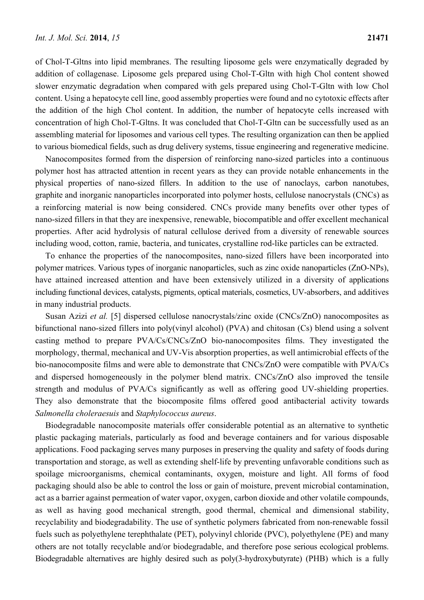of Chol-T-Gltns into lipid membranes. The resulting liposome gels were enzymatically degraded by addition of collagenase. Liposome gels prepared using Chol-T-Gltn with high Chol content showed slower enzymatic degradation when compared with gels prepared using Chol-T-Gltn with low Chol content. Using a hepatocyte cell line, good assembly properties were found and no cytotoxic effects after the addition of the high Chol content. In addition, the number of hepatocyte cells increased with concentration of high Chol-T-Gltns. It was concluded that Chol-T-Gltn can be successfully used as an assembling material for liposomes and various cell types. The resulting organization can then be applied to various biomedical fields, such as drug delivery systems, tissue engineering and regenerative medicine.

Nanocomposites formed from the dispersion of reinforcing nano-sized particles into a continuous polymer host has attracted attention in recent years as they can provide notable enhancements in the physical properties of nano-sized fillers. In addition to the use of nanoclays, carbon nanotubes, graphite and inorganic nanoparticles incorporated into polymer hosts, cellulose nanocrystals (CNCs) as a reinforcing material is now being considered. CNCs provide many benefits over other types of nano-sized fillers in that they are inexpensive, renewable, biocompatible and offer excellent mechanical properties. After acid hydrolysis of natural cellulose derived from a diversity of renewable sources including wood, cotton, ramie, bacteria, and tunicates, crystalline rod-like particles can be extracted.

To enhance the properties of the nanocomposites, nano-sized fillers have been incorporated into polymer matrices. Various types of inorganic nanoparticles, such as zinc oxide nanoparticles (ZnO-NPs), have attained increased attention and have been extensively utilized in a diversity of applications including functional devices, catalysts, pigments, optical materials, cosmetics, UV-absorbers, and additives in many industrial products.

Susan Azizi *et al.* [5] dispersed cellulose nanocrystals/zinc oxide (CNCs/ZnO) nanocomposites as bifunctional nano-sized fillers into poly(vinyl alcohol) (PVA) and chitosan (Cs) blend using a solvent casting method to prepare PVA/Cs/CNCs/ZnO bio-nanocomposites films. They investigated the morphology, thermal, mechanical and UV-Vis absorption properties, as well antimicrobial effects of the bio-nanocomposite films and were able to demonstrate that CNCs/ZnO were compatible with PVA/Cs and dispersed homogeneously in the polymer blend matrix. CNCs/ZnO also improved the tensile strength and modulus of PVA/Cs significantly as well as offering good UV-shielding properties. They also demonstrate that the biocomposite films offered good antibacterial activity towards *Salmonella choleraesuis* and *Staphylococcus aureus*.

Biodegradable nanocomposite materials offer considerable potential as an alternative to synthetic plastic packaging materials, particularly as food and beverage containers and for various disposable applications. Food packaging serves many purposes in preserving the quality and safety of foods during transportation and storage, as well as extending shelf-life by preventing unfavorable conditions such as spoilage microorganisms, chemical contaminants, oxygen, moisture and light. All forms of food packaging should also be able to control the loss or gain of moisture, prevent microbial contamination, act as a barrier against permeation of water vapor, oxygen, carbon dioxide and other volatile compounds, as well as having good mechanical strength, good thermal, chemical and dimensional stability, recyclability and biodegradability. The use of synthetic polymers fabricated from non-renewable fossil fuels such as polyethylene terephthalate (PET), polyvinyl chloride (PVC), polyethylene (PE) and many others are not totally recyclable and/or biodegradable, and therefore pose serious ecological problems. Biodegradable alternatives are highly desired such as poly(3-hydroxybutyrate) (PHB) which is a fully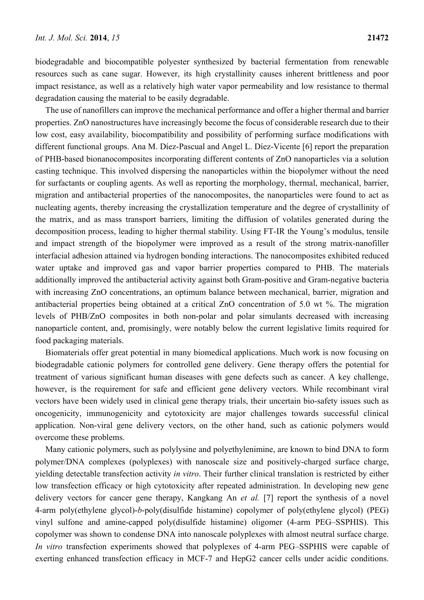biodegradable and biocompatible polyester synthesized by bacterial fermentation from renewable resources such as cane sugar. However, its high crystallinity causes inherent brittleness and poor impact resistance, as well as a relatively high water vapor permeability and low resistance to thermal degradation causing the material to be easily degradable.

The use of nanofillers can improve the mechanical performance and offer a higher thermal and barrier properties. ZnO nanostructures have increasingly become the focus of considerable research due to their low cost, easy availability, biocompatibility and possibility of performing surface modifications with different functional groups. Ana M. Díez-Pascual and Angel L. Díez-Vicente [6] report the preparation of PHB-based bionanocomposites incorporating different contents of ZnO nanoparticles via a solution casting technique. This involved dispersing the nanoparticles within the biopolymer without the need for surfactants or coupling agents. As well as reporting the morphology, thermal, mechanical, barrier, migration and antibacterial properties of the nanocomposites, the nanoparticles were found to act as nucleating agents, thereby increasing the crystallization temperature and the degree of crystallinity of the matrix, and as mass transport barriers, limiting the diffusion of volatiles generated during the decomposition process, leading to higher thermal stability. Using FT-IR the Young's modulus, tensile and impact strength of the biopolymer were improved as a result of the strong matrix-nanofiller interfacial adhesion attained via hydrogen bonding interactions. The nanocomposites exhibited reduced water uptake and improved gas and vapor barrier properties compared to PHB. The materials additionally improved the antibacterial activity against both Gram-positive and Gram-negative bacteria with increasing ZnO concentrations, an optimum balance between mechanical, barrier, migration and antibacterial properties being obtained at a critical ZnO concentration of 5.0 wt %. The migration levels of PHB/ZnO composites in both non-polar and polar simulants decreased with increasing nanoparticle content, and, promisingly, were notably below the current legislative limits required for food packaging materials.

Biomaterials offer great potential in many biomedical applications. Much work is now focusing on biodegradable cationic polymers for controlled gene delivery. Gene therapy offers the potential for treatment of various significant human diseases with gene defects such as cancer. A key challenge, however, is the requirement for safe and efficient gene delivery vectors. While recombinant viral vectors have been widely used in clinical gene therapy trials, their uncertain bio-safety issues such as oncogenicity, immunogenicity and cytotoxicity are major challenges towards successful clinical application. Non-viral gene delivery vectors, on the other hand, such as cationic polymers would overcome these problems.

Many cationic polymers, such as polylysine and polyethylenimine, are known to bind DNA to form polymer/DNA complexes (polyplexes) with nanoscale size and positively-charged surface charge, yielding detectable transfection activity *in vitro*. Their further clinical translation is restricted by either low transfection efficacy or high cytotoxicity after repeated administration. In developing new gene delivery vectors for cancer gene therapy, Kangkang An *et al.* [7] report the synthesis of a novel 4-arm poly(ethylene glycol)-*b*-poly(disulfide histamine) copolymer of poly(ethylene glycol) (PEG) vinyl sulfone and amine-capped poly(disulfide histamine) oligomer (4-arm PEG–SSPHIS). This copolymer was shown to condense DNA into nanoscale polyplexes with almost neutral surface charge. *In vitro* transfection experiments showed that polyplexes of 4-arm PEG–SSPHIS were capable of exerting enhanced transfection efficacy in MCF-7 and HepG2 cancer cells under acidic conditions.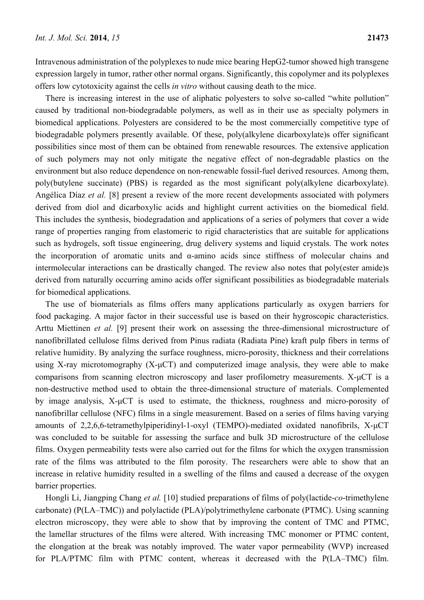Intravenous administration of the polyplexes to nude mice bearing HepG2-tumor showed high transgene expression largely in tumor, rather other normal organs. Significantly, this copolymer and its polyplexes offers low cytotoxicity against the cells *in vitro* without causing death to the mice.

There is increasing interest in the use of aliphatic polyesters to solve so-called "white pollution" caused by traditional non-biodegradable polymers, as well as in their use as specialty polymers in biomedical applications. Polyesters are considered to be the most commercially competitive type of biodegradable polymers presently available. Of these, poly(alkylene dicarboxylate)s offer significant possibilities since most of them can be obtained from renewable resources. The extensive application of such polymers may not only mitigate the negative effect of non-degradable plastics on the environment but also reduce dependence on non-renewable fossil-fuel derived resources. Among them, poly(butylene succinate) (PBS) is regarded as the most significant poly(alkylene dicarboxylate). Angélica Díaz *et al.* [8] present a review of the more recent developments associated with polymers derived from diol and dicarboxylic acids and highlight current activities on the biomedical field. This includes the synthesis, biodegradation and applications of a series of polymers that cover a wide range of properties ranging from elastomeric to rigid characteristics that are suitable for applications such as hydrogels, soft tissue engineering, drug delivery systems and liquid crystals. The work notes the incorporation of aromatic units and  $\alpha$ -amino acids since stiffness of molecular chains and intermolecular interactions can be drastically changed. The review also notes that poly(ester amide)s derived from naturally occurring amino acids offer significant possibilities as biodegradable materials for biomedical applications.

The use of biomaterials as films offers many applications particularly as oxygen barriers for food packaging. A major factor in their successful use is based on their hygroscopic characteristics. Arttu Miettinen *et al.* [9] present their work on assessing the three-dimensional microstructure of nanofibrillated cellulose films derived from Pinus radiata (Radiata Pine) kraft pulp fibers in terms of relative humidity. By analyzing the surface roughness, micro-porosity, thickness and their correlations using X-ray microtomography (X-μCT) and computerized image analysis, they were able to make comparisons from scanning electron microscopy and laser profilometry measurements. X-μCT is a non-destructive method used to obtain the three-dimensional structure of materials. Complemented by image analysis, X-μCT is used to estimate, the thickness, roughness and micro-porosity of nanofibrillar cellulose (NFC) films in a single measurement. Based on a series of films having varying amounts of 2,2,6,6-tetramethylpiperidinyl-1-oxyl (TEMPO)-mediated oxidated nanofibrils, X-μCT was concluded to be suitable for assessing the surface and bulk 3D microstructure of the cellulose films. Oxygen permeability tests were also carried out for the films for which the oxygen transmission rate of the films was attributed to the film porosity. The researchers were able to show that an increase in relative humidity resulted in a swelling of the films and caused a decrease of the oxygen barrier properties.

Hongli Li, Jiangping Chang *et al.* [10] studied preparations of films of poly(lactide-*co*-trimethylene carbonate) (P(LA–TMC)) and polylactide (PLA)/polytrimethylene carbonate (PTMC). Using scanning electron microscopy, they were able to show that by improving the content of TMC and PTMC, the lamellar structures of the films were altered. With increasing TMC monomer or PTMC content, the elongation at the break was notably improved. The water vapor permeability (WVP) increased for PLA/PTMC film with PTMC content, whereas it decreased with the P(LA–TMC) film.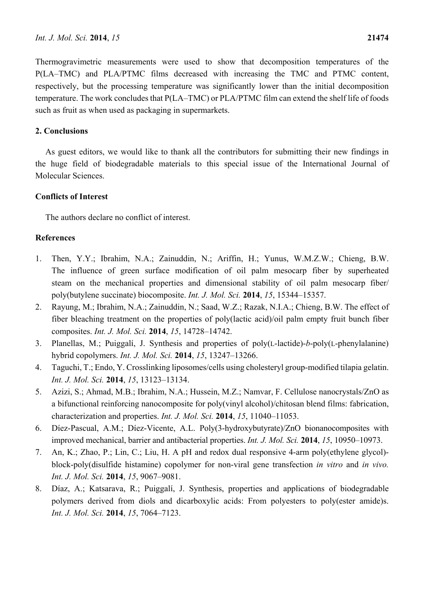Thermogravimetric measurements were used to show that decomposition temperatures of the P(LA–TMC) and PLA/PTMC films decreased with increasing the TMC and PTMC content, respectively, but the processing temperature was significantly lower than the initial decomposition temperature. The work concludes that P(LA–TMC) or PLA/PTMC film can extend the shelf life of foods such as fruit as when used as packaging in supermarkets.

### **2. Conclusions**

As guest editors, we would like to thank all the contributors for submitting their new findings in the huge field of biodegradable materials to this special issue of the International Journal of Molecular Sciences.

## **Conflicts of Interest**

The authors declare no conflict of interest.

## **References**

- 1. Then, Y.Y.; Ibrahim, N.A.; Zainuddin, N.; Ariffin, H.; Yunus, W.M.Z.W.; Chieng, B.W. The influence of green surface modification of oil palm mesocarp fiber by superheated steam on the mechanical properties and dimensional stability of oil palm mesocarp fiber/ poly(butylene succinate) biocomposite. *Int. J. Mol. Sci.* **2014**, *15*, 15344–15357.
- 2. Rayung, M.; Ibrahim, N.A.; Zainuddin, N.; Saad, W.Z.; Razak, N.I.A.; Chieng, B.W. The effect of fiber bleaching treatment on the properties of poly(lactic acid)/oil palm empty fruit bunch fiber composites. *Int. J. Mol. Sci.* **2014**, *15*, 14728–14742.
- 3. Planellas, M.; Puiggalí, J. Synthesis and properties of poly(L-lactide)-*b*-poly(L-phenylalanine) hybrid copolymers. *Int. J. Mol. Sci.* **2014**, *15*, 13247–13266.
- 4. Taguchi, T.; Endo, Y. Crosslinking liposomes/cells using cholesteryl group-modified tilapia gelatin. *Int. J. Mol. Sci.* **2014**, *15*, 13123–13134.
- 5. Azizi, S.; Ahmad, M.B.; Ibrahim, N.A.; Hussein, M.Z.; Namvar, F. Cellulose nanocrystals/ZnO as a bifunctional reinforcing nanocomposite for poly(vinyl alcohol)/chitosan blend films: fabrication, characterization and properties. *Int. J. Mol. Sci.* **2014**, *15*, 11040–11053.
- 6. Díez-Pascual, A.M.; Díez-Vicente, A.L. Poly(3-hydroxybutyrate)/ZnO bionanocomposites with improved mechanical, barrier and antibacterial properties. *Int. J. Mol. Sci.* **2014**, *15*, 10950–10973.
- 7. An, K.; Zhao, P.; Lin, C.; Liu, H. A pH and redox dual responsive 4-arm poly(ethylene glycol) block-poly(disulfide histamine) copolymer for non-viral gene transfection *in vitro* and *in vivo. Int. J. Mol. Sci.* **2014**, *15*, 9067–9081.
- 8. Díaz, A.; Katsarava, R.; Puiggalí, J. Synthesis, properties and applications of biodegradable polymers derived from diols and dicarboxylic acids: From polyesters to poly(ester amide)s. *Int. J. Mol. Sci.* **2014**, *15*, 7064–7123.